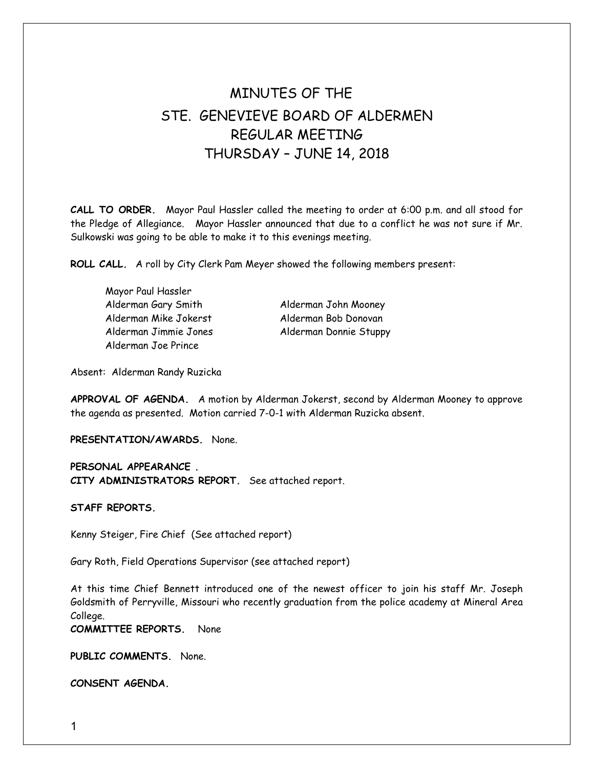## MINUTES OF THE STE. GENEVIEVE BOARD OF ALDERMEN REGULAR MEETING THURSDAY – JUNE 14, 2018

**CALL TO ORDER.** Mayor Paul Hassler called the meeting to order at 6:00 p.m. and all stood for the Pledge of Allegiance. Mayor Hassler announced that due to a conflict he was not sure if Mr. Sulkowski was going to be able to make it to this evenings meeting.

**ROLL CALL.** A roll by City Clerk Pam Meyer showed the following members present:

Mayor Paul Hassler Alderman Gary Smith Alderman John Mooney Alderman Mike Jokerst Alderman Bob Donovan Alderman Joe Prince

Alderman Jimmie Jones Alderman Donnie Stuppy

Absent: Alderman Randy Ruzicka

**APPROVAL OF AGENDA.** A motion by Alderman Jokerst, second by Alderman Mooney to approve the agenda as presented. Motion carried 7-0-1 with Alderman Ruzicka absent.

**PRESENTATION/AWARDS.** None.

**PERSONAL APPEARANCE . CITY ADMINISTRATORS REPORT.** See attached report.

**STAFF REPORTS.** 

Kenny Steiger, Fire Chief (See attached report)

Gary Roth, Field Operations Supervisor (see attached report)

At this time Chief Bennett introduced one of the newest officer to join his staff Mr. Joseph Goldsmith of Perryville, Missouri who recently graduation from the police academy at Mineral Area College.

**COMMITTEE REPORTS.** None

**PUBLIC COMMENTS.** None.

**CONSENT AGENDA.**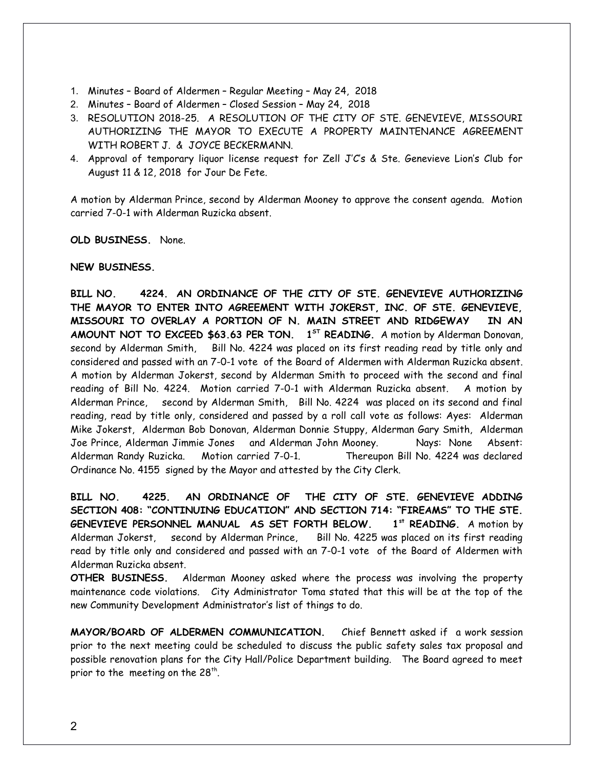- 1. Minutes Board of Aldermen Regular Meeting May 24, 2018
- 2. Minutes Board of Aldermen Closed Session May 24, 2018
- 3. RESOLUTION 2018-25. A RESOLUTION OF THE CITY OF STE. GENEVIEVE, MISSOURI AUTHORIZING THE MAYOR TO EXECUTE A PROPERTY MAINTENANCE AGREEMENT WITH ROBERT J. & JOYCE BECKERMANN.
- 4. Approval of temporary liquor license request for Zell J'C's & Ste. Genevieve Lion's Club for August 11 & 12, 2018 for Jour De Fete.

A motion by Alderman Prince, second by Alderman Mooney to approve the consent agenda. Motion carried 7-0-1 with Alderman Ruzicka absent.

**OLD BUSINESS.** None.

## **NEW BUSINESS.**

**BILL NO. 4224. AN ORDINANCE OF THE CITY OF STE. GENEVIEVE AUTHORIZING THE MAYOR TO ENTER INTO AGREEMENT WITH JOKERST, INC. OF STE. GENEVIEVE, MISSOURI TO OVERLAY A PORTION OF N. MAIN STREET AND RIDGEWAY IN AN AMOUNT NOT TO EXCEED \$63.63 PER TON. 1 ST READING.** A motion by Alderman Donovan, second by Alderman Smith, Bill No. 4224 was placed on its first reading read by title only and considered and passed with an 7-0-1 vote of the Board of Aldermen with Alderman Ruzicka absent. A motion by Alderman Jokerst, second by Alderman Smith to proceed with the second and final reading of Bill No. 4224. Motion carried 7-0-1 with Alderman Ruzicka absent. A motion by Alderman Prince, second by Alderman Smith, Bill No. 4224 was placed on its second and final reading, read by title only, considered and passed by a roll call vote as follows: Ayes: Alderman Mike Jokerst, Alderman Bob Donovan, Alderman Donnie Stuppy, Alderman Gary Smith, Alderman Joe Prince, Alderman Jimmie Jones and Alderman John Mooney. Nays: None Absent: Alderman Randy Ruzicka. Motion carried 7-0-1. Thereupon Bill No. 4224 was declared Ordinance No. 4155 signed by the Mayor and attested by the City Clerk.

**BILL NO. 4225. AN ORDINANCE OF THE CITY OF STE. GENEVIEVE ADDING SECTION 408: "CONTINUING EDUCATION" AND SECTION 714: "FIREAMS" TO THE STE. GENEVIEVE PERSONNEL MANUAL AS SET FORTH BELOW. 1st READING.** A motion by Alderman Jokerst, second by Alderman Prince, Bill No. 4225 was placed on its first reading read by title only and considered and passed with an 7-0-1 vote of the Board of Aldermen with Alderman Ruzicka absent.

**OTHER BUSINESS.** Alderman Mooney asked where the process was involving the property maintenance code violations. City Administrator Toma stated that this will be at the top of the new Community Development Administrator's list of things to do.

**MAYOR/BOARD OF ALDERMEN COMMUNICATION.** Chief Bennett asked if a work session prior to the next meeting could be scheduled to discuss the public safety sales tax proposal and possible renovation plans for the City Hall/Police Department building. The Board agreed to meet prior to the meeting on the 28<sup>th</sup>.